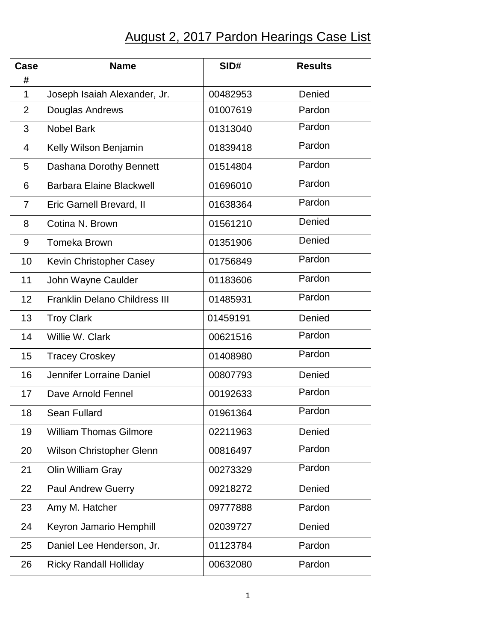## August 2, 2017 Pardon Hearings Case List

| Case<br>#      | <b>Name</b>                          | SID#     | <b>Results</b> |
|----------------|--------------------------------------|----------|----------------|
| $\mathbf 1$    | Joseph Isaiah Alexander, Jr.         | 00482953 | Denied         |
| $\overline{2}$ | Douglas Andrews                      | 01007619 | Pardon         |
| 3              | <b>Nobel Bark</b>                    | 01313040 | Pardon         |
| $\overline{4}$ | Kelly Wilson Benjamin                | 01839418 | Pardon         |
| 5              | Dashana Dorothy Bennett              | 01514804 | Pardon         |
| 6              | <b>Barbara Elaine Blackwell</b>      | 01696010 | Pardon         |
| $\overline{7}$ | Eric Garnell Brevard, II             | 01638364 | Pardon         |
| 8              | Cotina N. Brown                      | 01561210 | Denied         |
| 9              | <b>Tomeka Brown</b>                  | 01351906 | Denied         |
| 10             | Kevin Christopher Casey              | 01756849 | Pardon         |
| 11             | John Wayne Caulder                   | 01183606 | Pardon         |
| 12             | <b>Franklin Delano Childress III</b> | 01485931 | Pardon         |
| 13             | <b>Troy Clark</b>                    | 01459191 | Denied         |
| 14             | Willie W. Clark                      | 00621516 | Pardon         |
| 15             | <b>Tracey Croskey</b>                | 01408980 | Pardon         |
| 16             | Jennifer Lorraine Daniel             | 00807793 | Denied         |
| 17             | Dave Arnold Fennel                   | 00192633 | Pardon         |
| 18             | Sean Fullard                         | 01961364 | Pardon         |
| 19             | <b>William Thomas Gilmore</b>        | 02211963 | Denied         |
| 20             | Wilson Christopher Glenn             | 00816497 | Pardon         |
| 21             | Olin William Gray                    | 00273329 | Pardon         |
| 22             | <b>Paul Andrew Guerry</b>            | 09218272 | Denied         |
| 23             | Amy M. Hatcher                       | 09777888 | Pardon         |
| 24             | Keyron Jamario Hemphill              | 02039727 | Denied         |
| 25             | Daniel Lee Henderson, Jr.            | 01123784 | Pardon         |
| 26             | <b>Ricky Randall Holliday</b>        | 00632080 | Pardon         |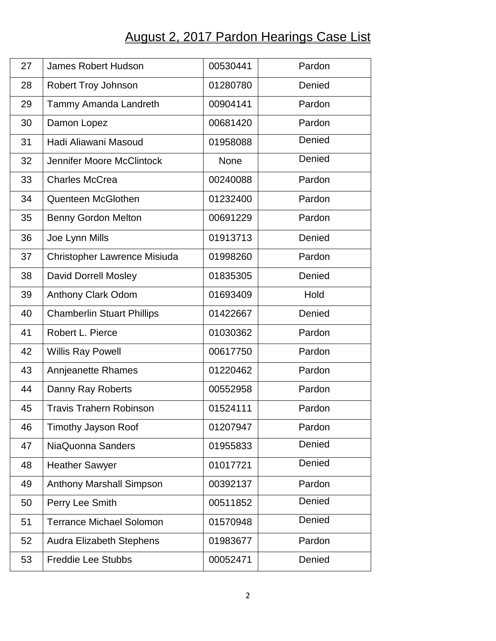## August 2, 2017 Pardon Hearings Case List

| Pardon<br>Denied<br>Pardon<br>Pardon<br>Denied<br>Denied<br>Pardon<br>Pardon<br>Pardon<br>Denied<br>Pardon |
|------------------------------------------------------------------------------------------------------------|
|                                                                                                            |
|                                                                                                            |
|                                                                                                            |
|                                                                                                            |
|                                                                                                            |
|                                                                                                            |
|                                                                                                            |
|                                                                                                            |
|                                                                                                            |
|                                                                                                            |
|                                                                                                            |
| Denied                                                                                                     |
| Hold                                                                                                       |
| Denied                                                                                                     |
| Pardon                                                                                                     |
| Pardon                                                                                                     |
| Pardon                                                                                                     |
| Pardon                                                                                                     |
| Pardon                                                                                                     |
| Pardon                                                                                                     |
| Denied                                                                                                     |
| Denied                                                                                                     |
| Pardon                                                                                                     |
| Denied                                                                                                     |
| Denied                                                                                                     |
| Pardon                                                                                                     |
| Denied                                                                                                     |
|                                                                                                            |